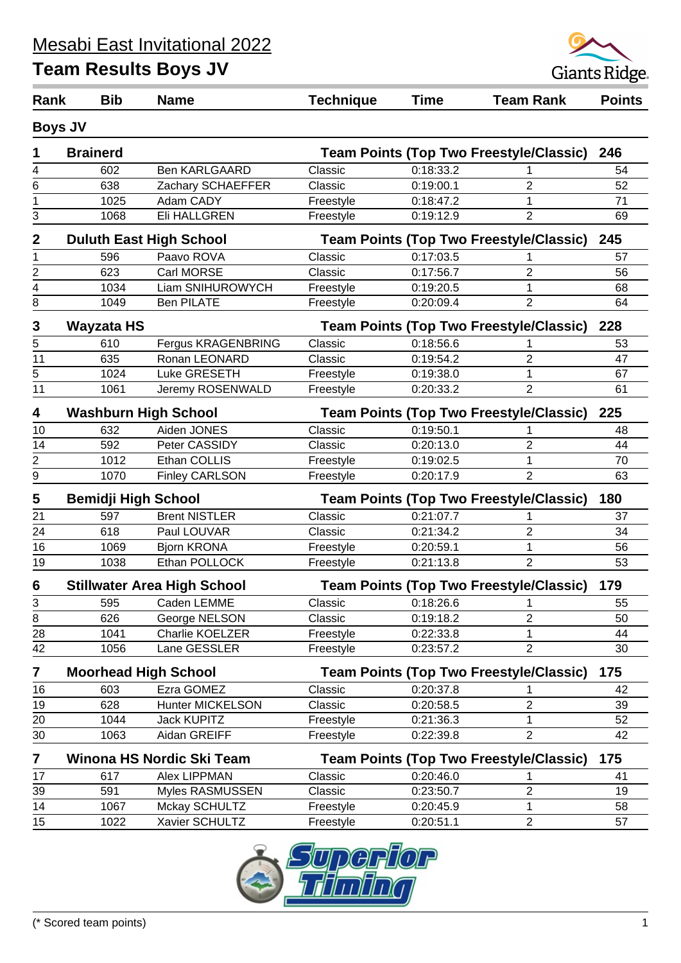

| Rank            | <b>Bib</b>                     | <b>Name</b>                        | <b>Technique</b> | <b>Time</b> | <b>Team Rank</b>                               | <b>Points</b> |
|-----------------|--------------------------------|------------------------------------|------------------|-------------|------------------------------------------------|---------------|
|                 | <b>Boys JV</b>                 |                                    |                  |             |                                                |               |
| 1               | <b>Brainerd</b>                |                                    |                  |             | <b>Team Points (Top Two Freestyle/Classic)</b> | 246           |
| 4               | 602                            | <b>Ben KARLGAARD</b>               | Classic          | 0:18:33.2   |                                                | 54            |
| 6               | 638                            | Zachary SCHAEFFER                  | Classic          | 0:19:00.1   | 2                                              | 52            |
| 1               | 1025                           | Adam CADY                          | Freestyle        | 0:18:47.2   | 1                                              | 71            |
| 3               | 1068                           | Eli HALLGREN                       | Freestyle        | 0:19:12.9   | $\overline{2}$                                 | 69            |
| $\mathbf{2}$    | <b>Duluth East High School</b> |                                    |                  |             | <b>Team Points (Top Two Freestyle/Classic)</b> | 245           |
| 1               | 596                            | Paavo ROVA                         | Classic          | 0:17:03.5   | 1                                              | 57            |
| 2               | 623                            | Carl MORSE                         | Classic          | 0:17:56.7   | 2                                              | 56            |
| 4               | 1034                           | Liam SNIHUROWYCH                   | Freestyle        | 0:19:20.5   | 1                                              | 68            |
| 8               | 1049                           | <b>Ben PILATE</b>                  | Freestyle        | 0:20:09.4   | $\overline{2}$                                 | 64            |
| 3               | <b>Wayzata HS</b>              |                                    |                  |             | <b>Team Points (Top Two Freestyle/Classic)</b> | 228           |
| 5               | 610                            | Fergus KRAGENBRING                 | Classic          | 0:18:56.6   | 1                                              | 53            |
| $\overline{11}$ | 635                            | Ronan LEONARD                      | Classic          | 0:19:54.2   | $\overline{2}$                                 | 47            |
| 5               | 1024                           | Luke GRESETH                       | Freestyle        | 0:19:38.0   | 1                                              | 67            |
| $\overline{11}$ | 1061                           | Jeremy ROSENWALD                   | Freestyle        | 0:20:33.2   | $\overline{2}$                                 | 61            |
| 4               | <b>Washburn High School</b>    |                                    |                  |             | <b>Team Points (Top Two Freestyle/Classic)</b> | 225           |
| 10              | 632                            | Aiden JONES                        | Classic          | 0:19:50.1   | 1                                              | 48            |
| 14              | 592                            | Peter CASSIDY                      | Classic          | 0:20:13.0   | $\overline{2}$                                 | 44            |
| 2               | 1012                           | Ethan COLLIS                       | Freestyle        | 0:19:02.5   | 1                                              | 70            |
| 9               | 1070                           | <b>Finley CARLSON</b>              | Freestyle        | 0:20:17.9   | $\overline{2}$                                 | 63            |
| 5               | <b>Bemidji High School</b>     |                                    |                  |             | <b>Team Points (Top Two Freestyle/Classic)</b> | 180           |
| 21              | 597                            | <b>Brent NISTLER</b>               | Classic          | 0:21:07.7   | 1                                              | 37            |
| 24              | 618                            | Paul LOUVAR                        | Classic          | 0:21:34.2   | $\overline{2}$                                 | 34            |
| 16              | 1069                           | <b>Bjorn KRONA</b>                 | Freestyle        | 0:20:59.1   | 1                                              | 56            |
| 19              | 1038                           | Ethan POLLOCK                      | Freestyle        | 0:21:13.8   | $\overline{2}$                                 | 53            |
| 6               |                                | <b>Stillwater Area High School</b> |                  |             | <b>Team Points (Top Two Freestyle/Classic)</b> | 179           |
| 3               | 595                            | Caden LEMME                        | Classic          | 0:18:26.6   | 1                                              | 55            |
| $\overline{8}$  | 626                            | George NELSON                      | Classic          | 0:19:18.2   | 2                                              | 50            |
| 28              | 1041                           | Charlie KOELZER                    | Freestyle        | 0:22:33.8   | 1                                              | 44            |
| 42              | 1056                           | Lane GESSLER                       | Freestyle        | 0:23:57.2   | $\overline{2}$                                 | 30            |
| 7               | <b>Moorhead High School</b>    |                                    |                  |             | <b>Team Points (Top Two Freestyle/Classic)</b> | 175           |
| 16              | 603                            | Ezra GOMEZ                         | Classic          | 0:20:37.8   |                                                | 42            |
| 19              | 628                            | <b>Hunter MICKELSON</b>            | Classic          | 0:20:58.5   | $\overline{2}$                                 | 39            |
| 20              | 1044                           | <b>Jack KUPITZ</b>                 | Freestyle        | 0:21:36.3   | 1                                              | 52            |
| 30              | 1063                           | Aidan GREIFF                       | Freestyle        | 0:22:39.8   | 2                                              | 42            |
| 7               |                                | Winona HS Nordic Ski Team          |                  |             | <b>Team Points (Top Two Freestyle/Classic)</b> | 175           |
| 17              | 617                            | Alex LIPPMAN                       | Classic          | 0:20:46.0   | 1                                              | 41            |
| 39              | 591                            | Myles RASMUSSEN                    | Classic          | 0:23:50.7   | $\overline{c}$                                 | 19            |
| 14              | 1067                           | Mckay SCHULTZ                      | Freestyle        | 0:20:45.9   | 1                                              | 58            |
| 15              | 1022                           | Xavier SCHULTZ                     | Freestyle        | 0:20:51.1   | $\overline{2}$                                 | 57            |
|                 |                                |                                    |                  |             |                                                |               |

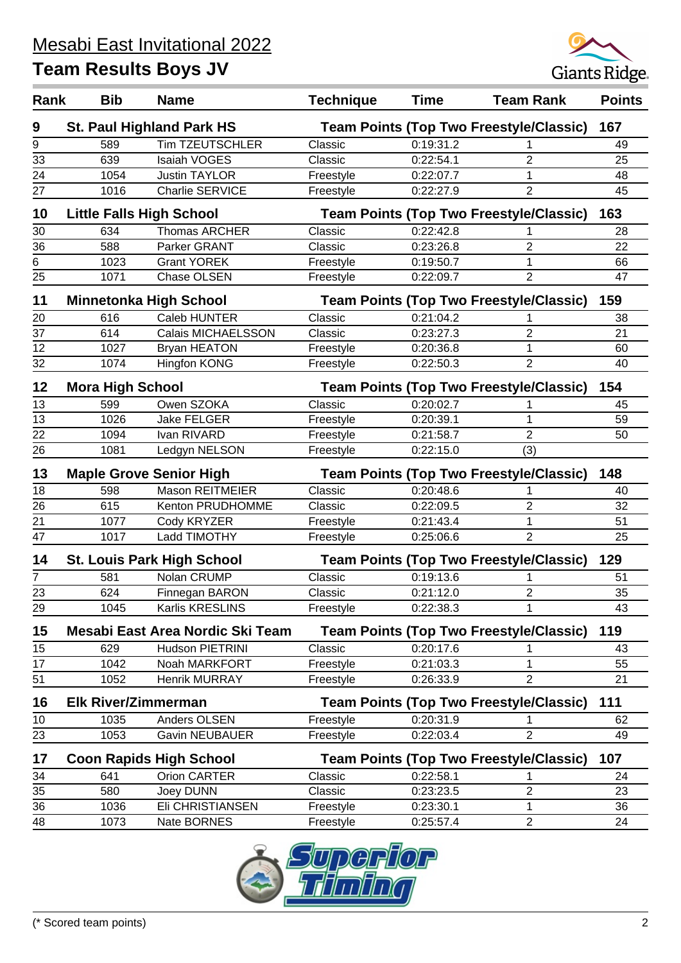

| Rank | <b>Bib</b>                                                                       | <b>Name</b>                       | <b>Technique</b> | <b>Time</b> | <b>Team Rank</b>                               | <b>Points</b> |
|------|----------------------------------------------------------------------------------|-----------------------------------|------------------|-------------|------------------------------------------------|---------------|
| 9    |                                                                                  | <b>St. Paul Highland Park HS</b>  |                  |             | <b>Team Points (Top Two Freestyle/Classic)</b> | 167           |
| 9    | 589                                                                              | <b>Tim TZEUTSCHLER</b>            | Classic          | 0:19:31.2   |                                                | 49            |
| 33   | 639                                                                              | <b>Isaiah VOGES</b>               | Classic          | 0:22:54.1   | 2                                              | 25            |
| 24   | 1054                                                                             | <b>Justin TAYLOR</b>              | Freestyle        | 0:22:07.7   | 1                                              | 48            |
| 27   | 1016                                                                             | Charlie SERVICE                   | Freestyle        | 0:22:27.9   | $\overline{2}$                                 | 45            |
| 10   |                                                                                  | <b>Little Falls High School</b>   |                  |             | <b>Team Points (Top Two Freestyle/Classic)</b> | 163           |
| 30   | 634                                                                              | Thomas ARCHER                     | Classic          | 0:22:42.8   |                                                | 28            |
| 36   | 588                                                                              | Parker GRANT                      | Classic          | 0:23:26.8   | 2                                              | 22            |
| 6    | 1023                                                                             | <b>Grant YOREK</b>                | Freestyle        | 0:19:50.7   | 1                                              | 66            |
| 25   | 1071                                                                             | Chase OLSEN                       | Freestyle        | 0:22:09.7   | $\overline{2}$                                 | 47            |
| 11   |                                                                                  | <b>Minnetonka High School</b>     |                  |             | <b>Team Points (Top Two Freestyle/Classic)</b> | 159           |
| 20   | 616                                                                              | Caleb HUNTER                      | Classic          | 0:21:04.2   |                                                | 38            |
| 37   | 614                                                                              | Calais MICHAELSSON                | Classic          | 0:23:27.3   | $\overline{2}$                                 | 21            |
| 12   | 1027                                                                             | <b>Bryan HEATON</b>               | Freestyle        | 0:20:36.8   | 1                                              | 60            |
| 32   | 1074                                                                             | Hingfon KONG                      | Freestyle        | 0:22:50.3   | 2                                              | 40            |
| 12   | <b>Mora High School</b>                                                          |                                   |                  |             | <b>Team Points (Top Two Freestyle/Classic)</b> | 154           |
| 13   | 599                                                                              | Owen SZOKA                        | Classic          | 0:20:02.7   |                                                | 45            |
| 13   | 1026                                                                             | <b>Jake FELGER</b>                | Freestyle        | 0:20:39.1   | 1                                              | 59            |
| 22   | 1094                                                                             | Ivan RIVARD                       | Freestyle        | 0:21:58.7   | $\overline{2}$                                 | 50            |
| 26   | 1081                                                                             | Ledgyn NELSON                     | Freestyle        | 0:22:15.0   | (3)                                            |               |
| 13   | <b>Maple Grove Senior High</b><br><b>Team Points (Top Two Freestyle/Classic)</b> |                                   |                  | 148         |                                                |               |
| 18   | 598                                                                              | Mason REITMEIER                   | Classic          | 0:20:48.6   |                                                | 40            |
| 26   | 615                                                                              | Kenton PRUDHOMME                  | Classic          | 0:22:09.5   | $\overline{2}$                                 | 32            |
| 21   | 1077                                                                             | Cody KRYZER                       | Freestyle        | 0:21:43.4   | $\mathbf{1}$                                   | 51            |
| 47   | 1017                                                                             | Ladd TIMOTHY                      | Freestyle        | 0:25:06.6   | $\overline{2}$                                 | 25            |
| 14   |                                                                                  | <b>St. Louis Park High School</b> |                  |             | <b>Team Points (Top Two Freestyle/Classic)</b> | 129           |
| 7    | 581                                                                              | Nolan CRUMP                       | Classic          | 0:19:13.6   |                                                | 51            |
| 23   | 624                                                                              | Finnegan BARON                    | Classic          | 0:21:12.0   | $\overline{2}$                                 | 35            |
| 29   | 1045                                                                             | Karlis KRESLINS                   | Freestyle        | 0:22:38.3   | 1                                              | 43            |
| 15   |                                                                                  | Mesabi East Area Nordic Ski Team  |                  |             | <b>Team Points (Top Two Freestyle/Classic)</b> | 119           |
| 15   | 629                                                                              | Hudson PIETRINI                   | Classic          | 0:20:17.6   |                                                | 43            |
| 17   | 1042                                                                             | Noah MARKFORT                     | Freestyle        | 0:21:03.3   | 1                                              | 55            |
| 51   | 1052                                                                             | Henrik MURRAY                     | Freestyle        | 0:26:33.9   | 2                                              | 21            |
| 16   | <b>Elk River/Zimmerman</b>                                                       |                                   |                  |             | <b>Team Points (Top Two Freestyle/Classic)</b> | 111           |
| 10   | 1035                                                                             | Anders OLSEN                      | Freestyle        | 0:20:31.9   |                                                | 62            |
| 23   | 1053                                                                             | <b>Gavin NEUBAUER</b>             | Freestyle        | 0:22:03.4   | $\overline{2}$                                 | 49            |
| 17   |                                                                                  | <b>Coon Rapids High School</b>    |                  |             | <b>Team Points (Top Two Freestyle/Classic)</b> | 107           |
| 34   | 641                                                                              | Orion CARTER                      | Classic          | 0:22:58.1   | 1                                              | 24            |
| 35   | 580                                                                              | Joey DUNN                         | Classic          | 0:23:23.5   | $\overline{c}$                                 | 23            |
| 36   | 1036                                                                             | Eli CHRISTIANSEN                  | Freestyle        | 0:23:30.1   | 1                                              | 36            |
| 48   | 1073                                                                             | Nate BORNES                       | Freestyle        | 0:25:57.4   | $\overline{2}$                                 | 24            |
|      |                                                                                  |                                   |                  |             |                                                |               |

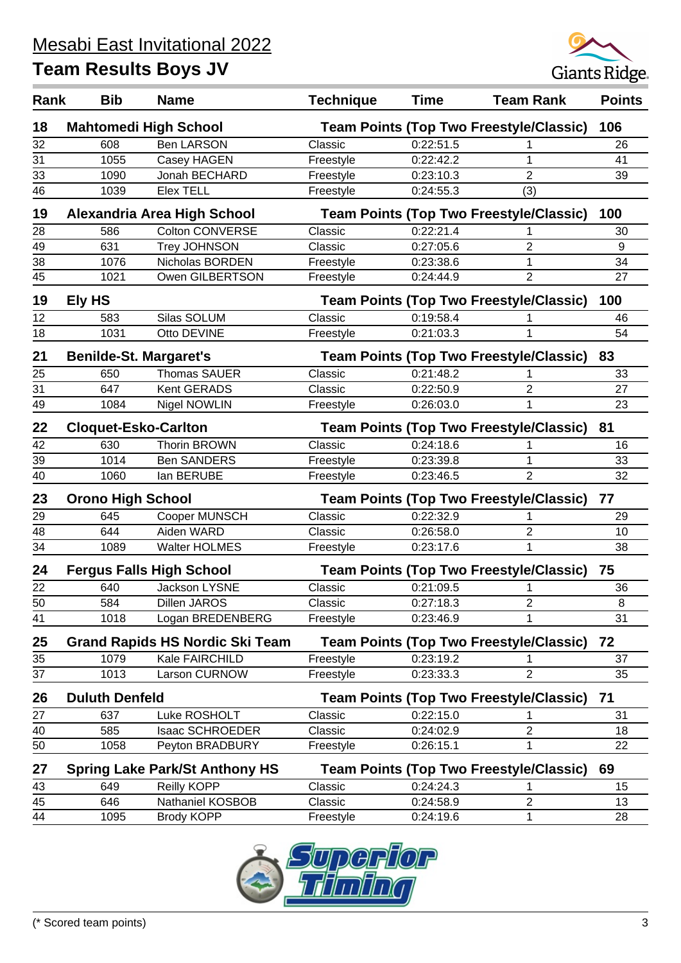

| Rank | <b>Bib</b>                    | <b>Name</b>                            | <b>Technique</b> | <b>Time</b> | <b>Team Rank</b>                               | <b>Points</b> |
|------|-------------------------------|----------------------------------------|------------------|-------------|------------------------------------------------|---------------|
| 18   |                               | <b>Mahtomedi High School</b>           |                  |             | <b>Team Points (Top Two Freestyle/Classic)</b> | 106           |
| 32   | 608                           | <b>Ben LARSON</b>                      | Classic          | 0:22:51.5   |                                                | 26            |
| 31   | 1055                          | Casey HAGEN                            | Freestyle        | 0:22:42.2   | 1                                              | 41            |
| 33   | 1090                          | Jonah BECHARD                          | Freestyle        | 0:23:10.3   | $\overline{2}$                                 | 39            |
| 46   | 1039                          | <b>Elex TELL</b>                       | Freestyle        | 0:24:55.3   | (3)                                            |               |
| 19   |                               | Alexandria Area High School            |                  |             | <b>Team Points (Top Two Freestyle/Classic)</b> | 100           |
| 28   | 586                           | <b>Colton CONVERSE</b>                 | Classic          | 0:22:21.4   |                                                | 30            |
| 49   | 631                           | <b>Trey JOHNSON</b>                    | Classic          | 0:27:05.6   | $\overline{2}$                                 | 9             |
| 38   | 1076                          | Nicholas BORDEN                        | Freestyle        | 0:23:38.6   | $\mathbf 1$                                    | 34            |
| 45   | 1021                          | Owen GILBERTSON                        | Freestyle        | 0:24:44.9   | $\overline{2}$                                 | 27            |
| 19   | Ely HS                        |                                        |                  |             | <b>Team Points (Top Two Freestyle/Classic)</b> | 100           |
| 12   | 583                           | Silas SOLUM                            | Classic          | 0:19:58.4   |                                                | 46            |
| 18   | 1031                          | Otto DEVINE                            | Freestyle        | 0:21:03.3   | 1                                              | 54            |
| 21   | <b>Benilde-St. Margaret's</b> |                                        |                  |             | <b>Team Points (Top Two Freestyle/Classic)</b> | 83            |
| 25   | 650                           | <b>Thomas SAUER</b>                    | Classic          | 0:21:48.2   |                                                | 33            |
| 31   | 647                           | Kent GERADS                            | Classic          | 0:22:50.9   | $\overline{2}$                                 | 27            |
| 49   | 1084                          | Nigel NOWLIN                           | Freestyle        | 0:26:03.0   | 1                                              | 23            |
| 22   | <b>Cloquet-Esko-Carlton</b>   |                                        |                  |             | <b>Team Points (Top Two Freestyle/Classic)</b> | 81            |
| 42   | 630                           | <b>Thorin BROWN</b>                    | Classic          | 0:24:18.6   |                                                | 16            |
| 39   | 1014                          | <b>Ben SANDERS</b>                     | Freestyle        | 0:23:39.8   | 1                                              | 33            |
| 40   | 1060                          | lan BERUBE                             | Freestyle        | 0:23:46.5   | $\overline{2}$                                 | 32            |
| 23   | <b>Orono High School</b>      |                                        |                  |             | <b>Team Points (Top Two Freestyle/Classic)</b> | 77            |
| 29   | 645                           | Cooper MUNSCH                          | Classic          | 0:22:32.9   |                                                | 29            |
| 48   | 644                           | Aiden WARD                             | Classic          | 0:26:58.0   | $\overline{2}$                                 | 10            |
| 34   | 1089                          | <b>Walter HOLMES</b>                   | Freestyle        | 0:23:17.6   | 1                                              | 38            |
| 24   |                               | <b>Fergus Falls High School</b>        |                  |             | <b>Team Points (Top Two Freestyle/Classic)</b> | 75            |
| 22   | 640                           | <b>Jackson LYSNE</b>                   | Classic          | 0:21:09.5   | 1                                              | 36            |
| 50   | 584                           | Dillen JAROS                           | Classic          | 0:27:18.3   | 2                                              | 8             |
| 41   | 1018                          | Logan BREDENBERG                       | Freestyle        | 0:23:46.9   | 1                                              | 31            |
| 25   |                               | <b>Grand Rapids HS Nordic Ski Team</b> |                  |             | <b>Team Points (Top Two Freestyle/Classic)</b> | 72            |
| 35   | 1079                          | Kale FAIRCHILD                         | Freestyle        | 0:23:19.2   |                                                | 37            |
| 37   | 1013                          | Larson CURNOW                          | Freestyle        | 0:23:33.3   | 2                                              | 35            |
| 26   | <b>Duluth Denfeld</b>         |                                        |                  |             | <b>Team Points (Top Two Freestyle/Classic)</b> | 71            |
| 27   | 637                           | Luke ROSHOLT                           | Classic          | 0:22:15.0   |                                                | 31            |
| 40   | 585                           | <b>Isaac SCHROEDER</b>                 | Classic          | 0:24:02.9   | $\overline{c}$                                 | 18            |
| 50   | 1058                          | Peyton BRADBURY                        | Freestyle        | 0:26:15.1   | 1                                              | 22            |
| 27   |                               | <b>Spring Lake Park/St Anthony HS</b>  |                  |             | <b>Team Points (Top Two Freestyle/Classic)</b> | 69            |
| 43   | 649                           | Reilly KOPP                            | Classic          | 0:24:24.3   | 1                                              | 15            |
| 45   | 646                           | Nathaniel KOSBOB                       | Classic          | 0:24:58.9   | $\overline{c}$                                 | 13            |
| 44   | 1095                          | <b>Brody KOPP</b>                      | Freestyle        | 0:24:19.6   | 1                                              | 28            |

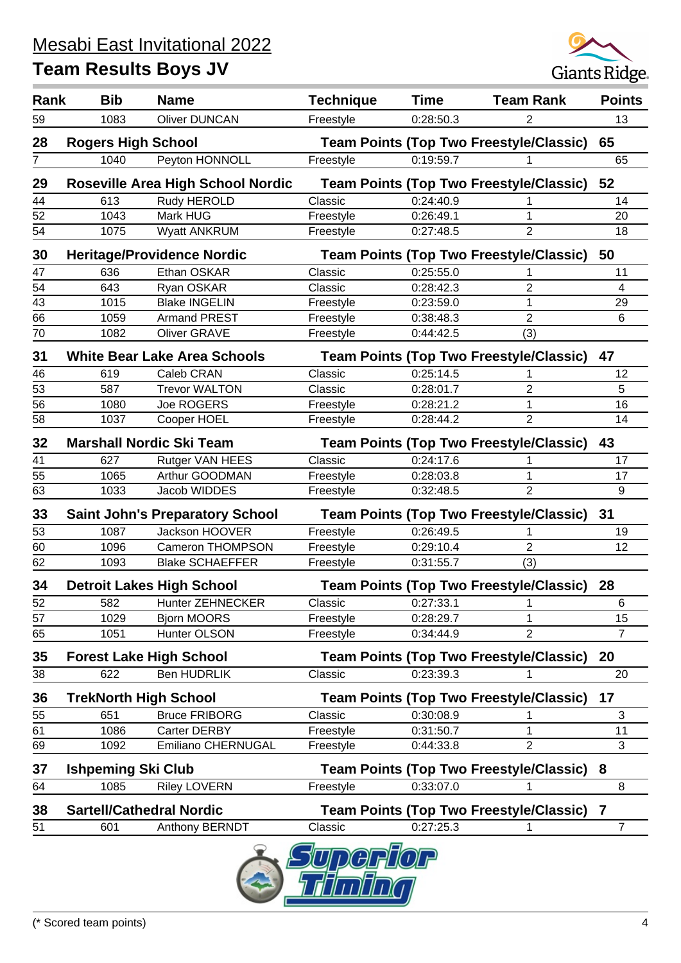

| Rank | <b>Bib</b>                   | <b>Name</b>                              | <b>Technique</b> | <b>Time</b> | <b>Team Rank</b>                               | <b>Points</b>  |
|------|------------------------------|------------------------------------------|------------------|-------------|------------------------------------------------|----------------|
| 59   | 1083                         | <b>Oliver DUNCAN</b>                     | Freestyle        | 0:28:50.3   | 2                                              | 13             |
| 28   | <b>Rogers High School</b>    |                                          |                  |             | <b>Team Points (Top Two Freestyle/Classic)</b> | 65             |
| 7    | 1040                         | Peyton HONNOLL                           | Freestyle        | 0:19:59.7   |                                                | 65             |
| 29   |                              | <b>Roseville Area High School Nordic</b> |                  |             | <b>Team Points (Top Two Freestyle/Classic)</b> | 52             |
| 44   | 613                          | Rudy HEROLD                              | Classic          | 0:24:40.9   |                                                | 14             |
| 52   | 1043                         | Mark HUG                                 | Freestyle        | 0:26:49.1   | 1                                              | 20             |
| 54   | 1075                         | <b>Wyatt ANKRUM</b>                      | Freestyle        | 0:27:48.5   | $\overline{2}$                                 | 18             |
| 30   |                              | <b>Heritage/Providence Nordic</b>        |                  |             | <b>Team Points (Top Two Freestyle/Classic)</b> | 50             |
| 47   | 636                          | Ethan OSKAR                              | Classic          | 0:25:55.0   |                                                | 11             |
| 54   | 643                          | Ryan OSKAR                               | Classic          | 0:28:42.3   | $\overline{2}$                                 | $\overline{4}$ |
| 43   | 1015                         | <b>Blake INGELIN</b>                     | Freestyle        | 0:23:59.0   | 1                                              | 29             |
| 66   | 1059                         | <b>Armand PREST</b>                      | Freestyle        | 0:38:48.3   | $\overline{2}$                                 | 6              |
| 70   | 1082                         | <b>Oliver GRAVE</b>                      | Freestyle        | 0:44:42.5   | (3)                                            |                |
| 31   |                              | <b>White Bear Lake Area Schools</b>      |                  |             | <b>Team Points (Top Two Freestyle/Classic)</b> | 47             |
| 46   | 619                          | Caleb CRAN                               | Classic          | 0:25:14.5   |                                                | 12             |
| 53   | 587                          | <b>Trevor WALTON</b>                     | Classic          | 0:28:01.7   | $\overline{2}$                                 | 5              |
| 56   | 1080                         | Joe ROGERS                               | Freestyle        | 0:28:21.2   | 1                                              | 16             |
| 58   | 1037                         | Cooper HOEL                              | Freestyle        | 0:28:44.2   | $\overline{2}$                                 | 14             |
| 32   |                              | <b>Marshall Nordic Ski Team</b>          |                  |             | <b>Team Points (Top Two Freestyle/Classic)</b> | 43             |
| 41   | 627                          | Rutger VAN HEES                          | Classic          | 0:24:17.6   |                                                | 17             |
| 55   | 1065                         | Arthur GOODMAN                           | Freestyle        | 0:28:03.8   | 1                                              | 17             |
| 63   | 1033                         | Jacob WIDDES                             | Freestyle        | 0:32:48.5   | $\overline{2}$                                 | 9              |
| 33   |                              | <b>Saint John's Preparatory School</b>   |                  |             | <b>Team Points (Top Two Freestyle/Classic)</b> | 31             |
| 53   | 1087                         | Jackson HOOVER                           | Freestyle        | 0:26:49.5   |                                                | 19             |
| 60   | 1096                         | <b>Cameron THOMPSON</b>                  | Freestyle        | 0:29:10.4   | $\overline{2}$                                 | 12             |
| 62   | 1093                         | <b>Blake SCHAEFFER</b>                   | Freestyle        | 0:31:55.7   | (3)                                            |                |
| 34   |                              | <b>Detroit Lakes High School</b>         |                  |             | <b>Team Points (Top Two Freestyle/Classic)</b> | 28             |
| 52   | 582                          | <b>Hunter ZEHNECKER</b>                  | Classic          | 0:27:33.1   | 1                                              | 6              |
| 57   | 1029                         | <b>Bjorn MOORS</b>                       | Freestyle        | 0:28:29.7   | 1                                              | 15             |
| 65   | 1051                         | Hunter OLSON                             | Freestyle        | 0:34:44.9   | $\overline{2}$                                 | 7              |
| 35   |                              | <b>Forest Lake High School</b>           |                  |             | <b>Team Points (Top Two Freestyle/Classic)</b> | 20             |
| 38   | 622                          | <b>Ben HUDRLIK</b>                       | Classic          | 0:23:39.3   |                                                | 20             |
| 36   | <b>TrekNorth High School</b> |                                          |                  |             | <b>Team Points (Top Two Freestyle/Classic)</b> | 17             |
| 55   | 651                          | <b>Bruce FRIBORG</b>                     | Classic          | 0:30:08.9   |                                                | 3              |
| 61   | 1086                         | Carter DERBY                             | Freestyle        | 0:31:50.7   | 1                                              | 11             |
| 69   | 1092                         | <b>Emiliano CHERNUGAL</b>                | Freestyle        | 0:44:33.8   | $\overline{2}$                                 | 3              |
| 37   | <b>Ishpeming Ski Club</b>    |                                          |                  |             | <b>Team Points (Top Two Freestyle/Classic)</b> | 8              |
| 64   | 1085                         | <b>Riley LOVERN</b>                      | Freestyle        | 0:33:07.0   |                                                | 8              |
| 38   |                              | <b>Sartell/Cathedral Nordic</b>          |                  |             | <b>Team Points (Top Two Freestyle/Classic)</b> | 7              |
| 51   | 601                          | Anthony BERNDT                           | Classic          | 0:27:25.3   | 1                                              | $\overline{7}$ |
|      |                              |                                          |                  |             |                                                |                |